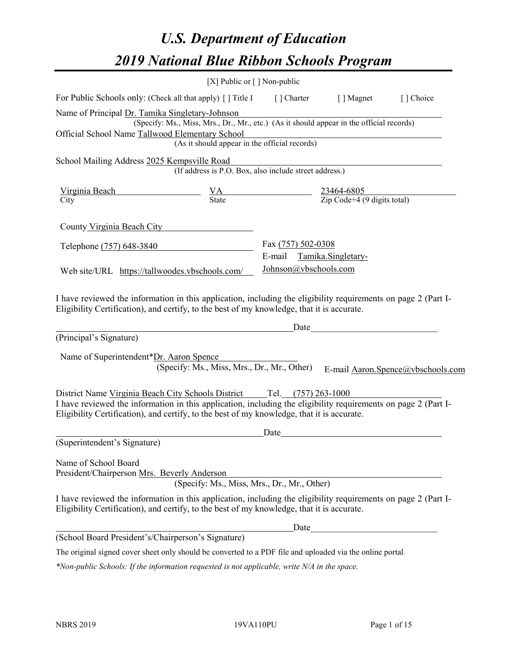# *U.S. Department of Education 2019 National Blue Ribbon Schools Program*

|                                                                                                                                                                                                              | [X] Public or $\lceil$ ] Non-public                                                      |                       |                    |                                   |
|--------------------------------------------------------------------------------------------------------------------------------------------------------------------------------------------------------------|------------------------------------------------------------------------------------------|-----------------------|--------------------|-----------------------------------|
| For Public Schools only: (Check all that apply) [] Title I [] Charter [] Magnet                                                                                                                              |                                                                                          |                       |                    | [] Choice                         |
| Name of Principal Dr. Tamika Singletary-Johnson                                                                                                                                                              |                                                                                          |                       |                    |                                   |
|                                                                                                                                                                                                              | (Specify: Ms., Miss, Mrs., Dr., Mr., etc.) (As it should appear in the official records) |                       |                    |                                   |
| Official School Name Tallwood Elementary School                                                                                                                                                              |                                                                                          |                       |                    |                                   |
|                                                                                                                                                                                                              | (As it should appear in the official records)                                            |                       |                    |                                   |
| School Mailing Address 2025 Kempsville Road                                                                                                                                                                  |                                                                                          |                       |                    |                                   |
|                                                                                                                                                                                                              | (If address is P.O. Box, also include street address.)                                   |                       |                    |                                   |
| Virginia Beach                                                                                                                                                                                               | $\frac{VA}{State}$ $\frac{23464-6805}{Zip Code+4 (9 digits total)}$                      |                       |                    |                                   |
| City                                                                                                                                                                                                         |                                                                                          |                       |                    |                                   |
|                                                                                                                                                                                                              |                                                                                          |                       |                    |                                   |
| County Virginia Beach City                                                                                                                                                                                   |                                                                                          |                       |                    |                                   |
| Telephone (757) 648-3840                                                                                                                                                                                     |                                                                                          | Fax (757) 502-0308    |                    |                                   |
|                                                                                                                                                                                                              |                                                                                          | E-mail                | Tamika.Singletary- |                                   |
| Web site/URL https://tallwoodes.vbschools.com/                                                                                                                                                               |                                                                                          | Johnson@ybschools.com |                    |                                   |
|                                                                                                                                                                                                              |                                                                                          |                       |                    |                                   |
| I have reviewed the information in this application, including the eligibility requirements on page 2 (Part I-                                                                                               |                                                                                          |                       |                    |                                   |
| Eligibility Certification), and certify, to the best of my knowledge, that it is accurate.                                                                                                                   |                                                                                          |                       |                    |                                   |
|                                                                                                                                                                                                              |                                                                                          | Date                  |                    |                                   |
| (Principal's Signature)                                                                                                                                                                                      |                                                                                          |                       |                    |                                   |
| Name of Superintendent*Dr. Aaron Spence                                                                                                                                                                      |                                                                                          |                       |                    |                                   |
|                                                                                                                                                                                                              | (Specify: Ms., Miss, Mrs., Dr., Mr., Other)                                              |                       |                    | E-mail Aaron.Spence@vbschools.com |
|                                                                                                                                                                                                              |                                                                                          |                       |                    |                                   |
| District Name Virginia Beach City Schools District Tel. (757) 263-1000                                                                                                                                       |                                                                                          |                       |                    |                                   |
| I have reviewed the information in this application, including the eligibility requirements on page 2 (Part I-                                                                                               |                                                                                          |                       |                    |                                   |
| Eligibility Certification), and certify, to the best of my knowledge, that it is accurate.                                                                                                                   |                                                                                          |                       |                    |                                   |
|                                                                                                                                                                                                              |                                                                                          | Date                  |                    |                                   |
| (Superintendent's Signature)                                                                                                                                                                                 |                                                                                          |                       |                    |                                   |
| Name of School Board                                                                                                                                                                                         |                                                                                          |                       |                    |                                   |
| President/Chairperson Mrs. Beverly Anderson                                                                                                                                                                  |                                                                                          |                       |                    |                                   |
|                                                                                                                                                                                                              | (Specify: Ms., Miss, Mrs., Dr., Mr., Other)                                              |                       |                    |                                   |
| I have reviewed the information in this application, including the eligibility requirements on page 2 (Part I-<br>Eligibility Certification), and certify, to the best of my knowledge, that it is accurate. |                                                                                          |                       |                    |                                   |
|                                                                                                                                                                                                              |                                                                                          | Date                  |                    |                                   |
| (School Board President's/Chairperson's Signature)                                                                                                                                                           |                                                                                          |                       |                    |                                   |
| The original signed cover sheet only should be converted to a PDF file and uploaded via the online portal.                                                                                                   |                                                                                          |                       |                    |                                   |

*\*Non-public Schools: If the information requested is not applicable, write N/A in the space.*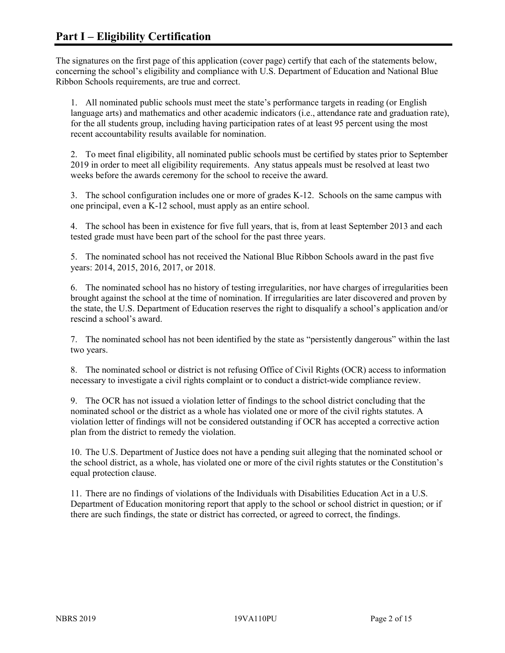The signatures on the first page of this application (cover page) certify that each of the statements below, concerning the school's eligibility and compliance with U.S. Department of Education and National Blue Ribbon Schools requirements, are true and correct.

1. All nominated public schools must meet the state's performance targets in reading (or English language arts) and mathematics and other academic indicators (i.e., attendance rate and graduation rate), for the all students group, including having participation rates of at least 95 percent using the most recent accountability results available for nomination.

2. To meet final eligibility, all nominated public schools must be certified by states prior to September 2019 in order to meet all eligibility requirements. Any status appeals must be resolved at least two weeks before the awards ceremony for the school to receive the award.

3. The school configuration includes one or more of grades K-12. Schools on the same campus with one principal, even a K-12 school, must apply as an entire school.

4. The school has been in existence for five full years, that is, from at least September 2013 and each tested grade must have been part of the school for the past three years.

5. The nominated school has not received the National Blue Ribbon Schools award in the past five years: 2014, 2015, 2016, 2017, or 2018.

6. The nominated school has no history of testing irregularities, nor have charges of irregularities been brought against the school at the time of nomination. If irregularities are later discovered and proven by the state, the U.S. Department of Education reserves the right to disqualify a school's application and/or rescind a school's award.

7. The nominated school has not been identified by the state as "persistently dangerous" within the last two years.

8. The nominated school or district is not refusing Office of Civil Rights (OCR) access to information necessary to investigate a civil rights complaint or to conduct a district-wide compliance review.

9. The OCR has not issued a violation letter of findings to the school district concluding that the nominated school or the district as a whole has violated one or more of the civil rights statutes. A violation letter of findings will not be considered outstanding if OCR has accepted a corrective action plan from the district to remedy the violation.

10. The U.S. Department of Justice does not have a pending suit alleging that the nominated school or the school district, as a whole, has violated one or more of the civil rights statutes or the Constitution's equal protection clause.

11. There are no findings of violations of the Individuals with Disabilities Education Act in a U.S. Department of Education monitoring report that apply to the school or school district in question; or if there are such findings, the state or district has corrected, or agreed to correct, the findings.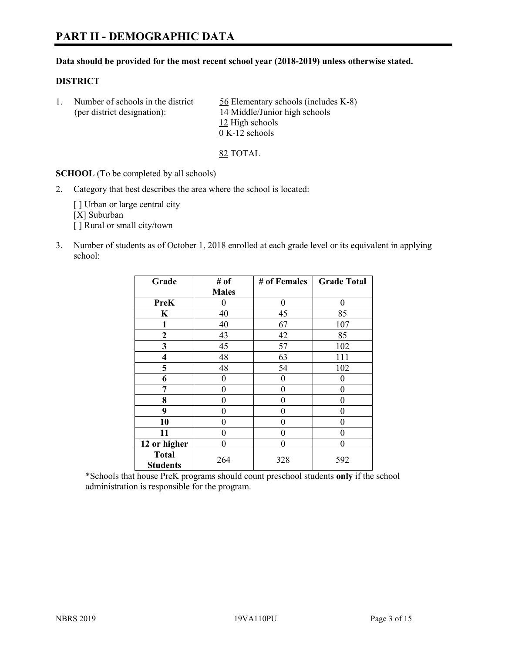# **PART II - DEMOGRAPHIC DATA**

#### **Data should be provided for the most recent school year (2018-2019) unless otherwise stated.**

#### **DISTRICT**

1. Number of schools in the district  $56$  Elementary schools (includes K-8) (per district designation): 14 Middle/Junior high schools 12 High schools 0 K-12 schools

82 TOTAL

**SCHOOL** (To be completed by all schools)

2. Category that best describes the area where the school is located:

[ ] Urban or large central city [X] Suburban [] Rural or small city/town

3. Number of students as of October 1, 2018 enrolled at each grade level or its equivalent in applying school:

| Grade                   | # of         | # of Females | <b>Grade Total</b> |
|-------------------------|--------------|--------------|--------------------|
|                         | <b>Males</b> |              |                    |
| <b>PreK</b>             | 0            | $\theta$     | 0                  |
| $\mathbf K$             | 40           | 45           | 85                 |
| 1                       | 40           | 67           | 107                |
| 2                       | 43           | 42           | 85                 |
| 3                       | 45           | 57           | 102                |
| $\overline{\mathbf{4}}$ | 48           | 63           | 111                |
| 5                       | 48           | 54           | 102                |
| 6                       | 0            | $\theta$     | 0                  |
| 7                       | 0            | $\theta$     | 0                  |
| 8                       | 0            | $\theta$     | 0                  |
| 9                       | 0            | $\theta$     | 0                  |
| 10                      | 0            | 0            | 0                  |
| 11                      | $\theta$     | 0            | 0                  |
| 12 or higher            | 0            | 0            | 0                  |
| <b>Total</b>            | 264          | 328          | 592                |
| <b>Students</b>         |              |              |                    |

\*Schools that house PreK programs should count preschool students **only** if the school administration is responsible for the program.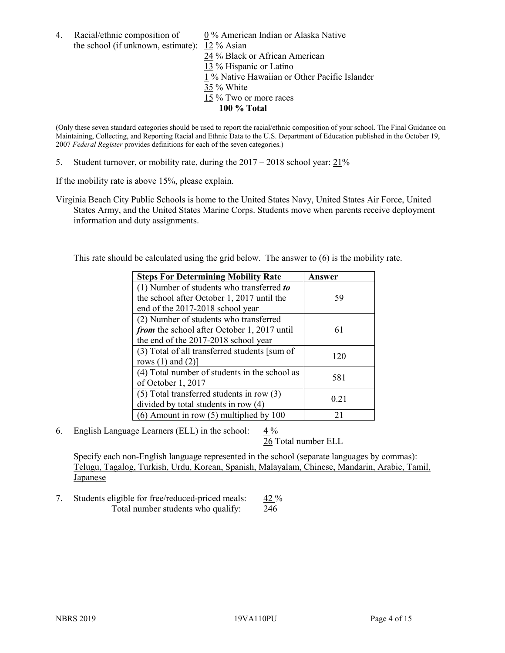4. Racial/ethnic composition of 0 % American Indian or Alaska Native the school (if unknown, estimate): 12 % Asian

 % Black or African American % Hispanic or Latino % Native Hawaiian or Other Pacific Islander 35 % White % Two or more races **100 % Total**

(Only these seven standard categories should be used to report the racial/ethnic composition of your school. The Final Guidance on Maintaining, Collecting, and Reporting Racial and Ethnic Data to the U.S. Department of Education published in the October 19, 2007 *Federal Register* provides definitions for each of the seven categories.)

5. Student turnover, or mobility rate, during the 2017 – 2018 school year: 21%

If the mobility rate is above 15%, please explain.

Virginia Beach City Public Schools is home to the United States Navy, United States Air Force, United States Army, and the United States Marine Corps. Students move when parents receive deployment information and duty assignments.

This rate should be calculated using the grid below. The answer to (6) is the mobility rate.

| <b>Steps For Determining Mobility Rate</b>    | Answer |
|-----------------------------------------------|--------|
| (1) Number of students who transferred to     |        |
| the school after October 1, 2017 until the    | 59     |
| end of the 2017-2018 school year              |        |
| (2) Number of students who transferred        |        |
| from the school after October 1, 2017 until   | 61     |
| the end of the 2017-2018 school year          |        |
| (3) Total of all transferred students [sum of | 120    |
| rows $(1)$ and $(2)$ ]                        |        |
| (4) Total number of students in the school as | 581    |
| of October 1, 2017                            |        |
| $(5)$ Total transferred students in row $(3)$ | 0.21   |
| divided by total students in row (4)          |        |
| (6) Amount in row (5) multiplied by 100       | 21     |

6. English Language Learners (ELL) in the school: 4 %

26 Total number ELL

Specify each non-English language represented in the school (separate languages by commas): Telugu, Tagalog, Turkish, Urdu, Korean, Spanish, Malayalam, Chinese, Mandarin, Arabic, Tamil, Japanese

7. Students eligible for free/reduced-priced meals: 42 % Total number students who qualify: 246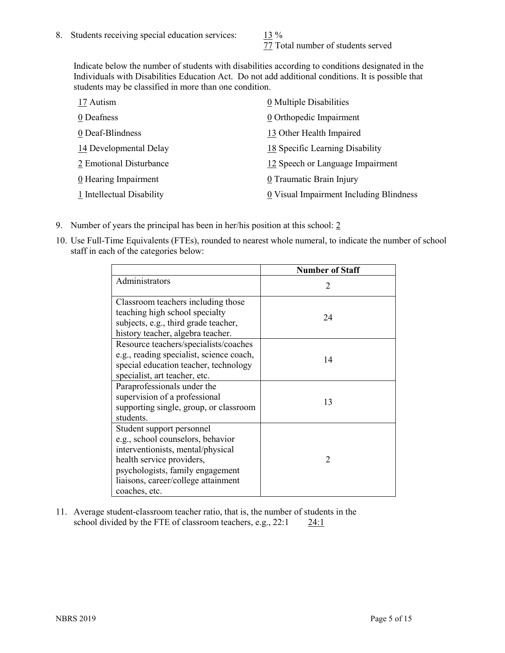77 Total number of students served

Indicate below the number of students with disabilities according to conditions designated in the Individuals with Disabilities Education Act. Do not add additional conditions. It is possible that students may be classified in more than one condition.

| 17 Autism                 | 0 Multiple Disabilities                 |
|---------------------------|-----------------------------------------|
| 0 Deafness                | 0 Orthopedic Impairment                 |
| 0 Deaf-Blindness          | 13 Other Health Impaired                |
| 14 Developmental Delay    | 18 Specific Learning Disability         |
| 2 Emotional Disturbance   | 12 Speech or Language Impairment        |
| 0 Hearing Impairment      | 0 Traumatic Brain Injury                |
| 1 Intellectual Disability | 0 Visual Impairment Including Blindness |

- 9. Number of years the principal has been in her/his position at this school: 2
- 10. Use Full-Time Equivalents (FTEs), rounded to nearest whole numeral, to indicate the number of school staff in each of the categories below:

|                                                                                                                                                                                                                              | <b>Number of Staff</b> |
|------------------------------------------------------------------------------------------------------------------------------------------------------------------------------------------------------------------------------|------------------------|
| Administrators                                                                                                                                                                                                               | $\mathfrak{D}$         |
| Classroom teachers including those<br>teaching high school specialty<br>subjects, e.g., third grade teacher,<br>history teacher, algebra teacher.                                                                            | 24                     |
| Resource teachers/specialists/coaches<br>e.g., reading specialist, science coach,<br>special education teacher, technology<br>specialist, art teacher, etc.                                                                  | 14                     |
| Paraprofessionals under the<br>supervision of a professional<br>supporting single, group, or classroom<br>students.                                                                                                          | 13                     |
| Student support personnel<br>e.g., school counselors, behavior<br>interventionists, mental/physical<br>health service providers,<br>psychologists, family engagement<br>liaisons, career/college attainment<br>coaches, etc. | $\mathfrak{D}$         |

11. Average student-classroom teacher ratio, that is, the number of students in the school divided by the FTE of classroom teachers, e.g., 22:1 24:1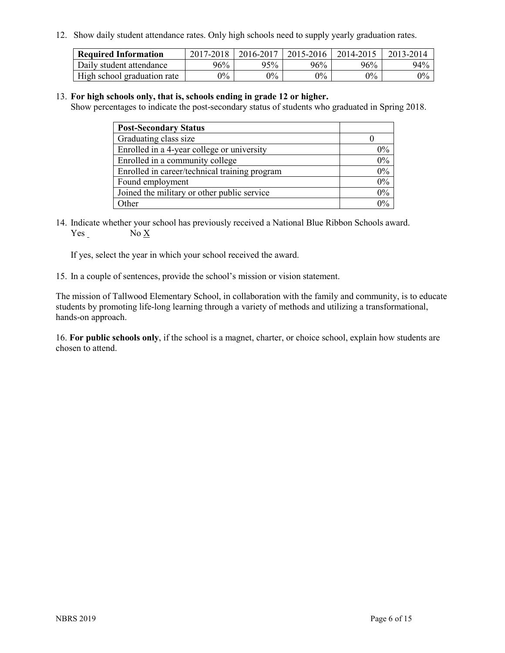12. Show daily student attendance rates. Only high schools need to supply yearly graduation rates.

| <b>Required Information</b> | 2017-2018 | 2016-2017 | $2015 - 2016$ | 2014-2015 | 2013-2014 |
|-----------------------------|-----------|-----------|---------------|-----------|-----------|
| Daily student attendance    | 96%       | 95%       | 96%           | 96%       | 94%       |
| High school graduation rate | $0\%$     | $0\%$     | $0\%$         | $9\%$     | $0\%$     |

#### 13. **For high schools only, that is, schools ending in grade 12 or higher.**

Show percentages to indicate the post-secondary status of students who graduated in Spring 2018.

| <b>Post-Secondary Status</b>                  |       |
|-----------------------------------------------|-------|
| Graduating class size                         |       |
| Enrolled in a 4-year college or university    | $0\%$ |
| Enrolled in a community college               | 0%    |
| Enrolled in career/technical training program | 0%    |
| Found employment                              | 0%    |
| Joined the military or other public service   | 0%    |
| Other                                         | $0\%$ |

14. Indicate whether your school has previously received a National Blue Ribbon Schools award. Yes No X

If yes, select the year in which your school received the award.

15. In a couple of sentences, provide the school's mission or vision statement.

The mission of Tallwood Elementary School, in collaboration with the family and community, is to educate students by promoting life-long learning through a variety of methods and utilizing a transformational, hands-on approach.

16. **For public schools only**, if the school is a magnet, charter, or choice school, explain how students are chosen to attend.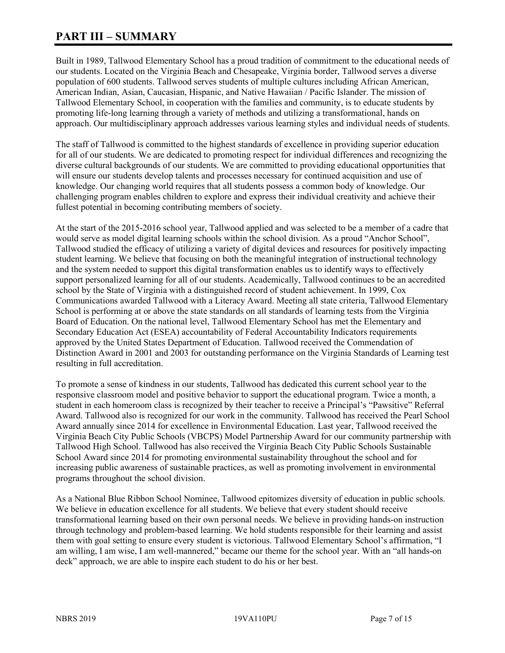# **PART III – SUMMARY**

Built in 1989, Tallwood Elementary School has a proud tradition of commitment to the educational needs of our students. Located on the Virginia Beach and Chesapeake, Virginia border, Tallwood serves a diverse population of 600 students. Tallwood serves students of multiple cultures including African American, American Indian, Asian, Caucasian, Hispanic, and Native Hawaiian / Pacific Islander. The mission of Tallwood Elementary School, in cooperation with the families and community, is to educate students by promoting life-long learning through a variety of methods and utilizing a transformational, hands on approach. Our multidisciplinary approach addresses various learning styles and individual needs of students.

The staff of Tallwood is committed to the highest standards of excellence in providing superior education for all of our students. We are dedicated to promoting respect for individual differences and recognizing the diverse cultural backgrounds of our students. We are committed to providing educational opportunities that will ensure our students develop talents and processes necessary for continued acquisition and use of knowledge. Our changing world requires that all students possess a common body of knowledge. Our challenging program enables children to explore and express their individual creativity and achieve their fullest potential in becoming contributing members of society.

At the start of the 2015-2016 school year, Tallwood applied and was selected to be a member of a cadre that would serve as model digital learning schools within the school division. As a proud "Anchor School", Tallwood studied the efficacy of utilizing a variety of digital devices and resources for positively impacting student learning. We believe that focusing on both the meaningful integration of instructional technology and the system needed to support this digital transformation enables us to identify ways to effectively support personalized learning for all of our students. Academically, Tallwood continues to be an accredited school by the State of Virginia with a distinguished record of student achievement. In 1999, Cox Communications awarded Tallwood with a Literacy Award. Meeting all state criteria, Tallwood Elementary School is performing at or above the state standards on all standards of learning tests from the Virginia Board of Education. On the national level, Tallwood Elementary School has met the Elementary and Secondary Education Act (ESEA) accountability of Federal Accountability Indicators requirements approved by the United States Department of Education. Tallwood received the Commendation of Distinction Award in 2001 and 2003 for outstanding performance on the Virginia Standards of Learning test resulting in full accreditation.

To promote a sense of kindness in our students, Tallwood has dedicated this current school year to the responsive classroom model and positive behavior to support the educational program. Twice a month, a student in each homeroom class is recognized by their teacher to receive a Principal's "Pawsitive" Referral Award. Tallwood also is recognized for our work in the community. Tallwood has received the Pearl School Award annually since 2014 for excellence in Environmental Education. Last year, Tallwood received the Virginia Beach City Public Schools (VBCPS) Model Partnership Award for our community partnership with Tallwood High School. Tallwood has also received the Virginia Beach City Public Schools Sustainable School Award since 2014 for promoting environmental sustainability throughout the school and for increasing public awareness of sustainable practices, as well as promoting involvement in environmental programs throughout the school division.

As a National Blue Ribbon School Nominee, Tallwood epitomizes diversity of education in public schools. We believe in education excellence for all students. We believe that every student should receive transformational learning based on their own personal needs. We believe in providing hands-on instruction through technology and problem-based learning. We hold students responsible for their learning and assist them with goal setting to ensure every student is victorious. Tallwood Elementary School's affirmation, "I am willing, I am wise, I am well-mannered," became our theme for the school year. With an "all hands-on deck" approach, we are able to inspire each student to do his or her best.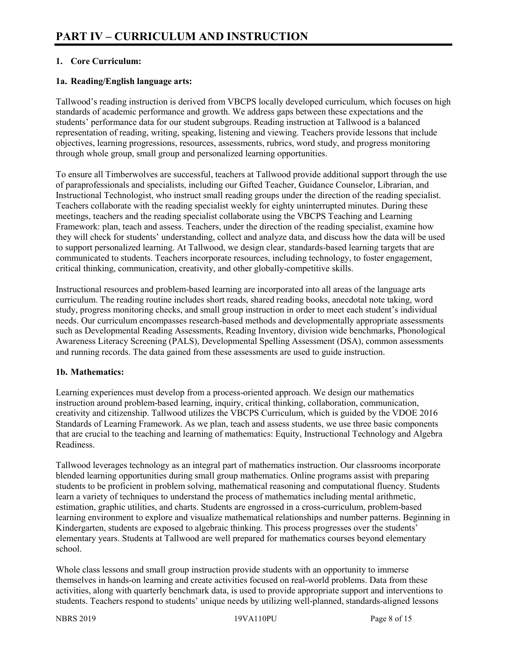# **1. Core Curriculum:**

#### **1a. Reading/English language arts:**

Tallwood's reading instruction is derived from VBCPS locally developed curriculum, which focuses on high standards of academic performance and growth. We address gaps between these expectations and the students' performance data for our student subgroups. Reading instruction at Tallwood is a balanced representation of reading, writing, speaking, listening and viewing. Teachers provide lessons that include objectives, learning progressions, resources, assessments, rubrics, word study, and progress monitoring through whole group, small group and personalized learning opportunities.

To ensure all Timberwolves are successful, teachers at Tallwood provide additional support through the use of paraprofessionals and specialists, including our Gifted Teacher, Guidance Counselor, Librarian, and Instructional Technologist, who instruct small reading groups under the direction of the reading specialist. Teachers collaborate with the reading specialist weekly for eighty uninterrupted minutes. During these meetings, teachers and the reading specialist collaborate using the VBCPS Teaching and Learning Framework: plan, teach and assess. Teachers, under the direction of the reading specialist, examine how they will check for students' understanding, collect and analyze data, and discuss how the data will be used to support personalized learning. At Tallwood, we design clear, standards-based learning targets that are communicated to students. Teachers incorporate resources, including technology, to foster engagement, critical thinking, communication, creativity, and other globally-competitive skills.

Instructional resources and problem-based learning are incorporated into all areas of the language arts curriculum. The reading routine includes short reads, shared reading books, anecdotal note taking, word study, progress monitoring checks, and small group instruction in order to meet each student's individual needs. Our curriculum encompasses research-based methods and developmentally appropriate assessments such as Developmental Reading Assessments, Reading Inventory, division wide benchmarks, Phonological Awareness Literacy Screening (PALS), Developmental Spelling Assessment (DSA), common assessments and running records. The data gained from these assessments are used to guide instruction.

# **1b. Mathematics:**

Learning experiences must develop from a process-oriented approach. We design our mathematics instruction around problem-based learning, inquiry, critical thinking, collaboration, communication, creativity and citizenship. Tallwood utilizes the VBCPS Curriculum, which is guided by the VDOE 2016 Standards of Learning Framework. As we plan, teach and assess students, we use three basic components that are crucial to the teaching and learning of mathematics: Equity, Instructional Technology and Algebra Readiness.

Tallwood leverages technology as an integral part of mathematics instruction. Our classrooms incorporate blended learning opportunities during small group mathematics. Online programs assist with preparing students to be proficient in problem solving, mathematical reasoning and computational fluency. Students learn a variety of techniques to understand the process of mathematics including mental arithmetic, estimation, graphic utilities, and charts. Students are engrossed in a cross-curriculum, problem-based learning environment to explore and visualize mathematical relationships and number patterns. Beginning in Kindergarten, students are exposed to algebraic thinking. This process progresses over the students' elementary years. Students at Tallwood are well prepared for mathematics courses beyond elementary school.

Whole class lessons and small group instruction provide students with an opportunity to immerse themselves in hands-on learning and create activities focused on real-world problems. Data from these activities, along with quarterly benchmark data, is used to provide appropriate support and interventions to students. Teachers respond to students' unique needs by utilizing well-planned, standards-aligned lessons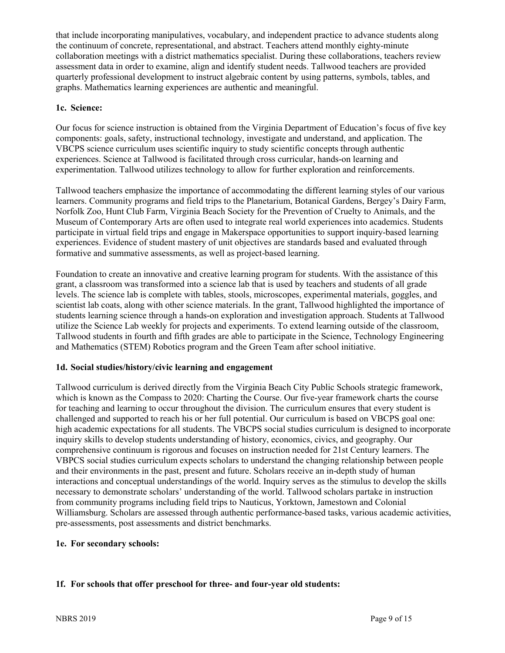that include incorporating manipulatives, vocabulary, and independent practice to advance students along the continuum of concrete, representational, and abstract. Teachers attend monthly eighty-minute collaboration meetings with a district mathematics specialist. During these collaborations, teachers review assessment data in order to examine, align and identify student needs. Tallwood teachers are provided quarterly professional development to instruct algebraic content by using patterns, symbols, tables, and graphs. Mathematics learning experiences are authentic and meaningful.

# **1c. Science:**

Our focus for science instruction is obtained from the Virginia Department of Education's focus of five key components: goals, safety, instructional technology, investigate and understand, and application. The VBCPS science curriculum uses scientific inquiry to study scientific concepts through authentic experiences. Science at Tallwood is facilitated through cross curricular, hands-on learning and experimentation. Tallwood utilizes technology to allow for further exploration and reinforcements.

Tallwood teachers emphasize the importance of accommodating the different learning styles of our various learners. Community programs and field trips to the Planetarium, Botanical Gardens, Bergey's Dairy Farm, Norfolk Zoo, Hunt Club Farm, Virginia Beach Society for the Prevention of Cruelty to Animals, and the Museum of Contemporary Arts are often used to integrate real world experiences into academics. Students participate in virtual field trips and engage in Makerspace opportunities to support inquiry-based learning experiences. Evidence of student mastery of unit objectives are standards based and evaluated through formative and summative assessments, as well as project-based learning.

Foundation to create an innovative and creative learning program for students. With the assistance of this grant, a classroom was transformed into a science lab that is used by teachers and students of all grade levels. The science lab is complete with tables, stools, microscopes, experimental materials, goggles, and scientist lab coats, along with other science materials. In the grant, Tallwood highlighted the importance of students learning science through a hands-on exploration and investigation approach. Students at Tallwood utilize the Science Lab weekly for projects and experiments. To extend learning outside of the classroom, Tallwood students in fourth and fifth grades are able to participate in the Science, Technology Engineering and Mathematics (STEM) Robotics program and the Green Team after school initiative.

# **1d. Social studies/history/civic learning and engagement**

Tallwood curriculum is derived directly from the Virginia Beach City Public Schools strategic framework, which is known as the Compass to 2020: Charting the Course. Our five-year framework charts the course for teaching and learning to occur throughout the division. The curriculum ensures that every student is challenged and supported to reach his or her full potential. Our curriculum is based on VBCPS goal one: high academic expectations for all students. The VBCPS social studies curriculum is designed to incorporate inquiry skills to develop students understanding of history, economics, civics, and geography. Our comprehensive continuum is rigorous and focuses on instruction needed for 21st Century learners. The VBPCS social studies curriculum expects scholars to understand the changing relationship between people and their environments in the past, present and future. Scholars receive an in-depth study of human interactions and conceptual understandings of the world. Inquiry serves as the stimulus to develop the skills necessary to demonstrate scholars' understanding of the world. Tallwood scholars partake in instruction from community programs including field trips to Nauticus, Yorktown, Jamestown and Colonial Williamsburg. Scholars are assessed through authentic performance-based tasks, various academic activities, pre-assessments, post assessments and district benchmarks.

#### **1e. For secondary schools:**

# **1f. For schools that offer preschool for three- and four-year old students:**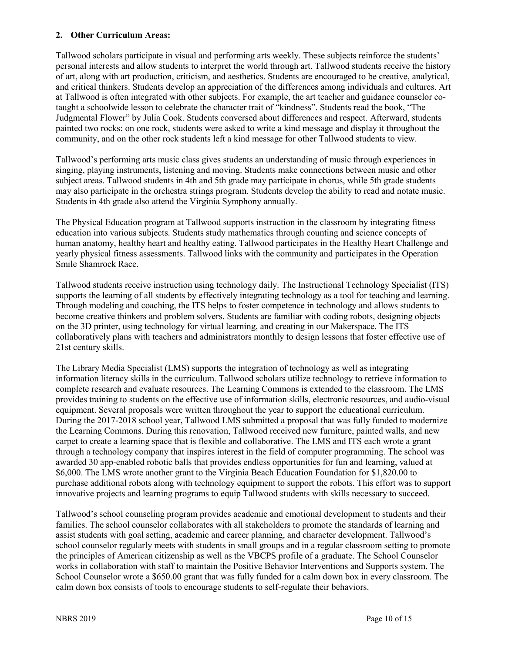#### **2. Other Curriculum Areas:**

Tallwood scholars participate in visual and performing arts weekly. These subjects reinforce the students' personal interests and allow students to interpret the world through art. Tallwood students receive the history of art, along with art production, criticism, and aesthetics. Students are encouraged to be creative, analytical, and critical thinkers. Students develop an appreciation of the differences among individuals and cultures. Art at Tallwood is often integrated with other subjects. For example, the art teacher and guidance counselor cotaught a schoolwide lesson to celebrate the character trait of "kindness". Students read the book, "The Judgmental Flower" by Julia Cook. Students conversed about differences and respect. Afterward, students painted two rocks: on one rock, students were asked to write a kind message and display it throughout the community, and on the other rock students left a kind message for other Tallwood students to view.

Tallwood's performing arts music class gives students an understanding of music through experiences in singing, playing instruments, listening and moving. Students make connections between music and other subject areas. Tallwood students in 4th and 5th grade may participate in chorus, while 5th grade students may also participate in the orchestra strings program. Students develop the ability to read and notate music. Students in 4th grade also attend the Virginia Symphony annually.

The Physical Education program at Tallwood supports instruction in the classroom by integrating fitness education into various subjects. Students study mathematics through counting and science concepts of human anatomy, healthy heart and healthy eating. Tallwood participates in the Healthy Heart Challenge and yearly physical fitness assessments. Tallwood links with the community and participates in the Operation Smile Shamrock Race.

Tallwood students receive instruction using technology daily. The Instructional Technology Specialist (ITS) supports the learning of all students by effectively integrating technology as a tool for teaching and learning. Through modeling and coaching, the ITS helps to foster competence in technology and allows students to become creative thinkers and problem solvers. Students are familiar with coding robots, designing objects on the 3D printer, using technology for virtual learning, and creating in our Makerspace. The ITS collaboratively plans with teachers and administrators monthly to design lessons that foster effective use of 21st century skills.

The Library Media Specialist (LMS) supports the integration of technology as well as integrating information literacy skills in the curriculum. Tallwood scholars utilize technology to retrieve information to complete research and evaluate resources. The Learning Commons is extended to the classroom. The LMS provides training to students on the effective use of information skills, electronic resources, and audio-visual equipment. Several proposals were written throughout the year to support the educational curriculum. During the 2017-2018 school year, Tallwood LMS submitted a proposal that was fully funded to modernize the Learning Commons. During this renovation, Tallwood received new furniture, painted walls, and new carpet to create a learning space that is flexible and collaborative. The LMS and ITS each wrote a grant through a technology company that inspires interest in the field of computer programming. The school was awarded 30 app-enabled robotic balls that provides endless opportunities for fun and learning, valued at \$6,000. The LMS wrote another grant to the Virginia Beach Education Foundation for \$1,820.00 to purchase additional robots along with technology equipment to support the robots. This effort was to support innovative projects and learning programs to equip Tallwood students with skills necessary to succeed.

Tallwood's school counseling program provides academic and emotional development to students and their families. The school counselor collaborates with all stakeholders to promote the standards of learning and assist students with goal setting, academic and career planning, and character development. Tallwood's school counselor regularly meets with students in small groups and in a regular classroom setting to promote the principles of American citizenship as well as the VBCPS profile of a graduate. The School Counselor works in collaboration with staff to maintain the Positive Behavior Interventions and Supports system. The School Counselor wrote a \$650.00 grant that was fully funded for a calm down box in every classroom. The calm down box consists of tools to encourage students to self-regulate their behaviors.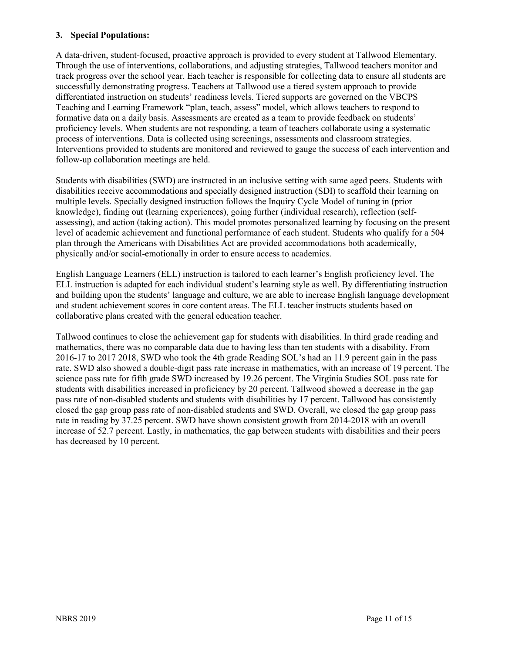#### **3. Special Populations:**

A data-driven, student-focused, proactive approach is provided to every student at Tallwood Elementary. Through the use of interventions, collaborations, and adjusting strategies, Tallwood teachers monitor and track progress over the school year. Each teacher is responsible for collecting data to ensure all students are successfully demonstrating progress. Teachers at Tallwood use a tiered system approach to provide differentiated instruction on students' readiness levels. Tiered supports are governed on the VBCPS Teaching and Learning Framework "plan, teach, assess" model, which allows teachers to respond to formative data on a daily basis. Assessments are created as a team to provide feedback on students' proficiency levels. When students are not responding, a team of teachers collaborate using a systematic process of interventions. Data is collected using screenings, assessments and classroom strategies. Interventions provided to students are monitored and reviewed to gauge the success of each intervention and follow-up collaboration meetings are held.

Students with disabilities (SWD) are instructed in an inclusive setting with same aged peers. Students with disabilities receive accommodations and specially designed instruction (SDI) to scaffold their learning on multiple levels. Specially designed instruction follows the Inquiry Cycle Model of tuning in (prior knowledge), finding out (learning experiences), going further (individual research), reflection (selfassessing), and action (taking action). This model promotes personalized learning by focusing on the present level of academic achievement and functional performance of each student. Students who qualify for a 504 plan through the Americans with Disabilities Act are provided accommodations both academically, physically and/or social-emotionally in order to ensure access to academics.

English Language Learners (ELL) instruction is tailored to each learner's English proficiency level. The ELL instruction is adapted for each individual student's learning style as well. By differentiating instruction and building upon the students' language and culture, we are able to increase English language development and student achievement scores in core content areas. The ELL teacher instructs students based on collaborative plans created with the general education teacher.

Tallwood continues to close the achievement gap for students with disabilities. In third grade reading and mathematics, there was no comparable data due to having less than ten students with a disability. From 2016-17 to 2017 2018, SWD who took the 4th grade Reading SOL's had an 11.9 percent gain in the pass rate. SWD also showed a double-digit pass rate increase in mathematics, with an increase of 19 percent. The science pass rate for fifth grade SWD increased by 19.26 percent. The Virginia Studies SOL pass rate for students with disabilities increased in proficiency by 20 percent. Tallwood showed a decrease in the gap pass rate of non-disabled students and students with disabilities by 17 percent. Tallwood has consistently closed the gap group pass rate of non-disabled students and SWD. Overall, we closed the gap group pass rate in reading by 37.25 percent. SWD have shown consistent growth from 2014-2018 with an overall increase of 52.7 percent. Lastly, in mathematics, the gap between students with disabilities and their peers has decreased by 10 percent.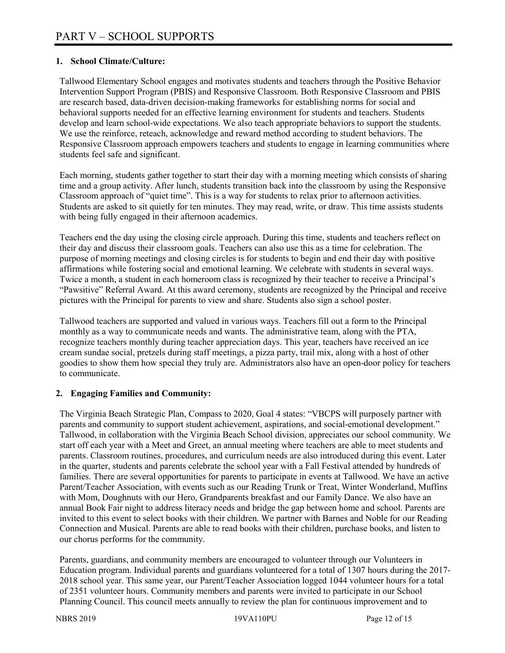#### **1. School Climate/Culture:**

Tallwood Elementary School engages and motivates students and teachers through the Positive Behavior Intervention Support Program (PBIS) and Responsive Classroom. Both Responsive Classroom and PBIS are research based, data-driven decision-making frameworks for establishing norms for social and behavioral supports needed for an effective learning environment for students and teachers. Students develop and learn school-wide expectations. We also teach appropriate behaviors to support the students. We use the reinforce, reteach, acknowledge and reward method according to student behaviors. The Responsive Classroom approach empowers teachers and students to engage in learning communities where students feel safe and significant.

Each morning, students gather together to start their day with a morning meeting which consists of sharing time and a group activity. After lunch, students transition back into the classroom by using the Responsive Classroom approach of "quiet time". This is a way for students to relax prior to afternoon activities. Students are asked to sit quietly for ten minutes. They may read, write, or draw. This time assists students with being fully engaged in their afternoon academics.

Teachers end the day using the closing circle approach. During this time, students and teachers reflect on their day and discuss their classroom goals. Teachers can also use this as a time for celebration. The purpose of morning meetings and closing circles is for students to begin and end their day with positive affirmations while fostering social and emotional learning. We celebrate with students in several ways. Twice a month, a student in each homeroom class is recognized by their teacher to receive a Principal's "Pawsitive" Referral Award. At this award ceremony, students are recognized by the Principal and receive pictures with the Principal for parents to view and share. Students also sign a school poster.

Tallwood teachers are supported and valued in various ways. Teachers fill out a form to the Principal monthly as a way to communicate needs and wants. The administrative team, along with the PTA, recognize teachers monthly during teacher appreciation days. This year, teachers have received an ice cream sundae social, pretzels during staff meetings, a pizza party, trail mix, along with a host of other goodies to show them how special they truly are. Administrators also have an open-door policy for teachers to communicate.

# **2. Engaging Families and Community:**

The Virginia Beach Strategic Plan, Compass to 2020, Goal 4 states: "VBCPS will purposely partner with parents and community to support student achievement, aspirations, and social-emotional development." Tallwood, in collaboration with the Virginia Beach School division, appreciates our school community. We start off each year with a Meet and Greet, an annual meeting where teachers are able to meet students and parents. Classroom routines, procedures, and curriculum needs are also introduced during this event. Later in the quarter, students and parents celebrate the school year with a Fall Festival attended by hundreds of families. There are several opportunities for parents to participate in events at Tallwood. We have an active Parent/Teacher Association, with events such as our Reading Trunk or Treat, Winter Wonderland, Muffins with Mom, Doughnuts with our Hero, Grandparents breakfast and our Family Dance. We also have an annual Book Fair night to address literacy needs and bridge the gap between home and school. Parents are invited to this event to select books with their children. We partner with Barnes and Noble for our Reading Connection and Musical. Parents are able to read books with their children, purchase books, and listen to our chorus performs for the community.

Parents, guardians, and community members are encouraged to volunteer through our Volunteers in Education program. Individual parents and guardians volunteered for a total of 1307 hours during the 2017- 2018 school year. This same year, our Parent/Teacher Association logged 1044 volunteer hours for a total of 2351 volunteer hours. Community members and parents were invited to participate in our School Planning Council. This council meets annually to review the plan for continuous improvement and to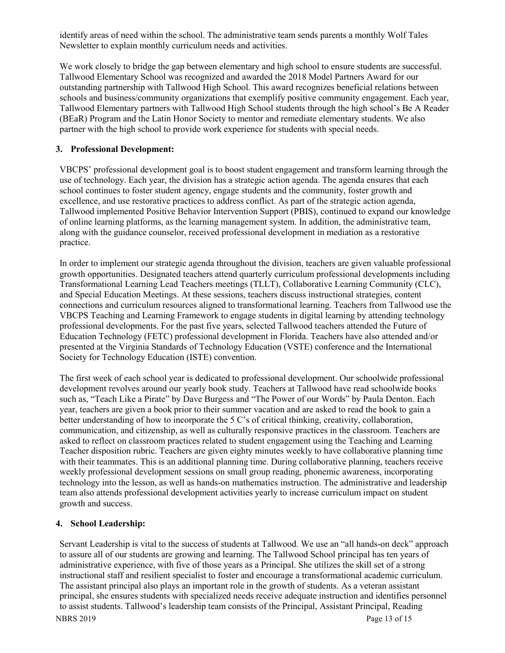identify areas of need within the school. The administrative team sends parents a monthly Wolf Tales Newsletter to explain monthly curriculum needs and activities.

We work closely to bridge the gap between elementary and high school to ensure students are successful. Tallwood Elementary School was recognized and awarded the 2018 Model Partners Award for our outstanding partnership with Tallwood High School. This award recognizes beneficial relations between schools and business/community organizations that exemplify positive community engagement. Each year, Tallwood Elementary partners with Tallwood High School students through the high school's Be A Reader (BEaR) Program and the Latin Honor Society to mentor and remediate elementary students. We also partner with the high school to provide work experience for students with special needs.

#### **3. Professional Development:**

VBCPS' professional development goal is to boost student engagement and transform learning through the use of technology. Each year, the division has a strategic action agenda. The agenda ensures that each school continues to foster student agency, engage students and the community, foster growth and excellence, and use restorative practices to address conflict. As part of the strategic action agenda, Tallwood implemented Positive Behavior Intervention Support (PBIS), continued to expand our knowledge of online learning platforms, as the learning management system. In addition, the administrative team, along with the guidance counselor, received professional development in mediation as a restorative practice.

In order to implement our strategic agenda throughout the division, teachers are given valuable professional growth opportunities. Designated teachers attend quarterly curriculum professional developments including Transformational Learning Lead Teachers meetings (TLLT), Collaborative Learning Community (CLC), and Special Education Meetings. At these sessions, teachers discuss instructional strategies, content connections and curriculum resources aligned to transformational learning. Teachers from Tallwood use the VBCPS Teaching and Learning Framework to engage students in digital learning by attending technology professional developments. For the past five years, selected Tallwood teachers attended the Future of Education Technology (FETC) professional development in Florida. Teachers have also attended and/or presented at the Virginia Standards of Technology Education (VSTE) conference and the International Society for Technology Education (ISTE) convention.

The first week of each school year is dedicated to professional development. Our schoolwide professional development revolves around our yearly book study. Teachers at Tallwood have read schoolwide books such as, "Teach Like a Pirate" by Dave Burgess and "The Power of our Words" by Paula Denton. Each year, teachers are given a book prior to their summer vacation and are asked to read the book to gain a better understanding of how to incorporate the 5 C's of critical thinking, creativity, collaboration, communication, and citizenship, as well as culturally responsive practices in the classroom. Teachers are asked to reflect on classroom practices related to student engagement using the Teaching and Learning Teacher disposition rubric. Teachers are given eighty minutes weekly to have collaborative planning time with their teammates. This is an additional planning time. During collaborative planning, teachers receive weekly professional development sessions on small group reading, phonemic awareness, incorporating technology into the lesson, as well as hands-on mathematics instruction. The administrative and leadership team also attends professional development activities yearly to increase curriculum impact on student growth and success.

# **4. School Leadership:**

Servant Leadership is vital to the success of students at Tallwood. We use an "all hands-on deck" approach to assure all of our students are growing and learning. The Tallwood School principal has ten years of administrative experience, with five of those years as a Principal. She utilizes the skill set of a strong instructional staff and resilient specialist to foster and encourage a transformational academic curriculum. The assistant principal also plays an important role in the growth of students. As a veteran assistant principal, she ensures students with specialized needs receive adequate instruction and identifies personnel to assist students. Tallwood's leadership team consists of the Principal, Assistant Principal, Reading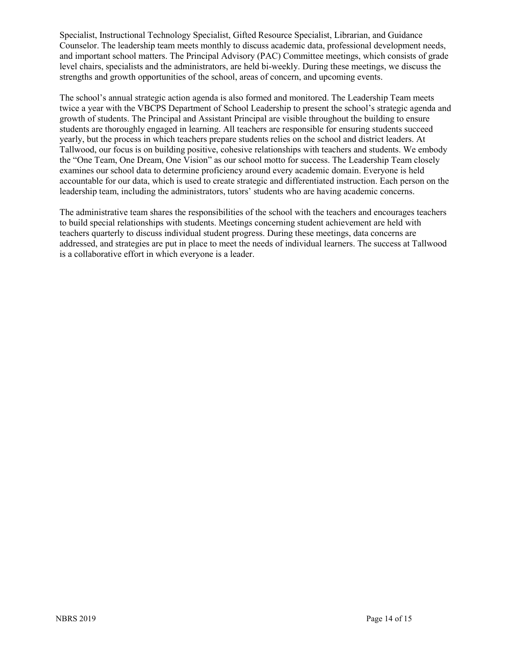Specialist, Instructional Technology Specialist, Gifted Resource Specialist, Librarian, and Guidance Counselor. The leadership team meets monthly to discuss academic data, professional development needs, and important school matters. The Principal Advisory (PAC) Committee meetings, which consists of grade level chairs, specialists and the administrators, are held bi-weekly. During these meetings, we discuss the strengths and growth opportunities of the school, areas of concern, and upcoming events.

The school's annual strategic action agenda is also formed and monitored. The Leadership Team meets twice a year with the VBCPS Department of School Leadership to present the school's strategic agenda and growth of students. The Principal and Assistant Principal are visible throughout the building to ensure students are thoroughly engaged in learning. All teachers are responsible for ensuring students succeed yearly, but the process in which teachers prepare students relies on the school and district leaders. At Tallwood, our focus is on building positive, cohesive relationships with teachers and students. We embody the "One Team, One Dream, One Vision" as our school motto for success. The Leadership Team closely examines our school data to determine proficiency around every academic domain. Everyone is held accountable for our data, which is used to create strategic and differentiated instruction. Each person on the leadership team, including the administrators, tutors' students who are having academic concerns.

The administrative team shares the responsibilities of the school with the teachers and encourages teachers to build special relationships with students. Meetings concerning student achievement are held with teachers quarterly to discuss individual student progress. During these meetings, data concerns are addressed, and strategies are put in place to meet the needs of individual learners. The success at Tallwood is a collaborative effort in which everyone is a leader.